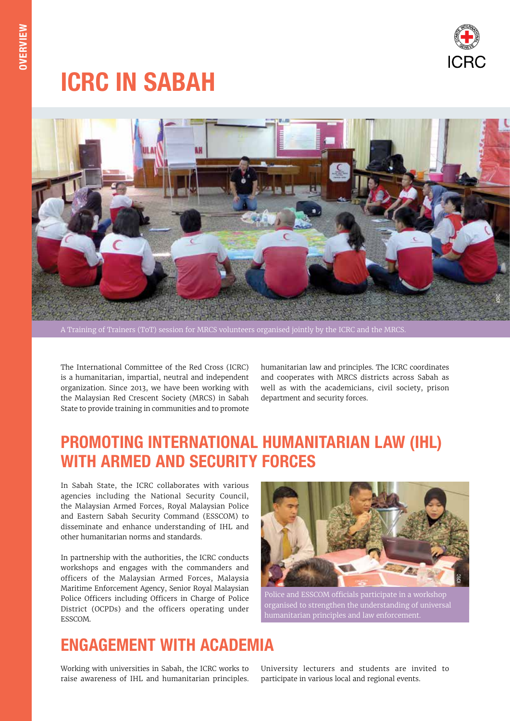

# ICRC IN SABAH



A Training of Trainers (ToT) session for MRCS volunteers organised jointly by the ICRC and the MRCS.

The International Committee of the Red Cross (ICRC) is a humanitarian, impartial, neutral and independent organization. Since 2013, we have been working with the Malaysian Red Crescent Society (MRCS) in Sabah State to provide training in communities and to promote

humanitarian law and principles. The ICRC coordinates and cooperates with MRCS districts across Sabah as well as with the academicians, civil society, prison department and security forces.

#### PROMOTING INTERNATIONAL HUMANITARIAN LAW (IHL) WITH ARMED AND SECURITY FORCES

In Sabah State, the ICRC collaborates with various agencies including the National Security Council, the Malaysian Armed Forces, Royal Malaysian Police and Eastern Sabah Security Command (ESSCOM) to disseminate and enhance understanding of IHL and other humanitarian norms and standards.

In partnership with the authorities, the ICRC conducts workshops and engages with the commanders and officers of the Malaysian Armed Forces, Malaysia Maritime Enforcement Agency, Senior Royal Malaysian Police Officers including Officers in Charge of Police District (OCPDs) and the officers operating under ESSCOM.



Police and ESSCOM officials participate in a workshop organised to strengthen the understanding of universal humanitarian principles and law enforcement.

#### ENGAGEMENT WITH ACADEMIA

Working with universities in Sabah, the ICRC works to raise awareness of IHL and humanitarian principles.

University lecturers and students are invited to participate in various local and regional events.